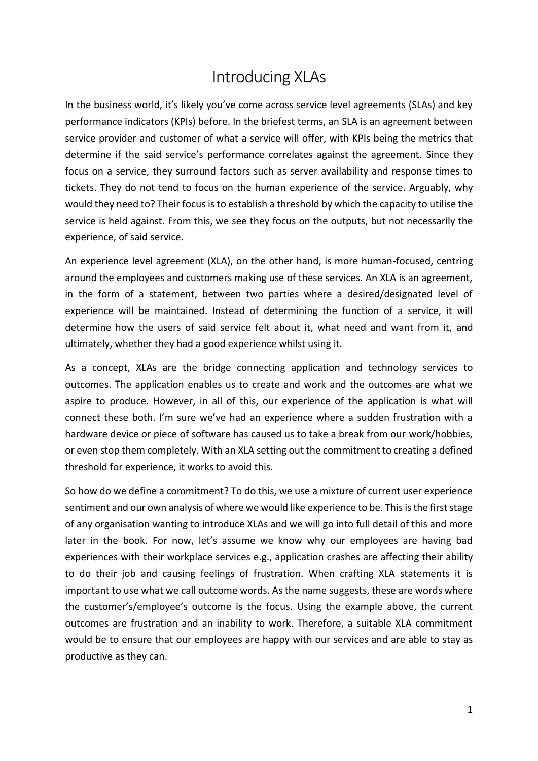## Introducing XLAs

In the business world, it's likely you've come across service level agreements (SLAs) and key performance indicators (KPIs) before. In the briefest terms, an SLA is an agreement between service provider and customer of what a service will offer, with KPIs being the metrics that determine if the said service's performance correlates against the agreement. Since they focus on a service, they surround factors such as server availability and response times to tickets. They do not tend to focus on the human experience of the service. Arguably, why would they need to? Their focus is to establish a threshold by which the capacity to utilise the service is held against. From this, we see they focus on the outputs, but not necessarily the experience, of said service.

An experience level agreement (XLA), on the other hand, is more human-focused, centring around the employees and customers making use of these services. An XLA is an agreement, in the form of a statement, between two parties where a desired/designated level of experience will be maintained. Instead of determining the function of a service, it will determine how the users of said service felt about it, what need and want from it, and ultimately, whether they had a good experience whilst using it.

As a concept, XLAs are the bridge connecting application and technology services to outcomes. The application enables us to create and work and the outcomes are what we aspire to produce. However, in all of this, our experience of the application is what will connect these both. I'm sure we've had an experience where a sudden frustration with a hardware device or piece of software has caused us to take a break from our work/hobbies, or even stop them completely. With an XLA setting out the commitment to creating a defined threshold for experience, it works to avoid this.

So how do we define a commitment? To do this, we use a mixture of current user experience sentiment and our own analysis of where we would like experience to be. This is the first stage of any organisation wanting to introduce XLAs and we will go into full detail of this and more later in the book. For now, let's assume we know why our employees are having bad experiences with their workplace services e.g., application crashes are affecting their ability to do their job and causing feelings of frustration. When crafting XLA statements it is important to use what we call outcome words. As the name suggests, these are words where the customer's/employee's outcome is the focus. Using the example above, the current outcomes are frustration and an inability to work. Therefore, a suitable XLA commitment would be to ensure that our employees are happy with our services and are able to stay as productive as they can.